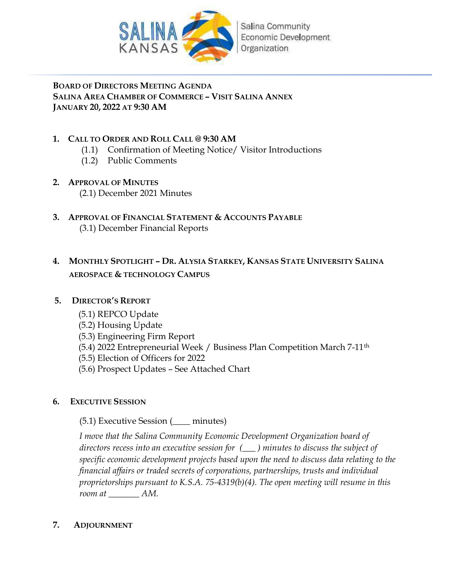

## BOARD OF DIRECTORS MEETING AGENDA SALINA AREA CHAMBER OF COMMERCE – VISIT SALINA ANNEX JANUARY 20, 2022 AT 9:30 AM

## 1. CALL TO ORDER AND ROLL CALL @ 9:30 AM

- (1.1) Confirmation of Meeting Notice/ Visitor Introductions
- (1.2) Public Comments
- 2. APPROVAL OF MINUTES (2.1) December 2021 Minutes
- 3. APPROVAL OF FINANCIAL STATEMENT & ACCOUNTS PAYABLE (3.1) December Financial Reports

## 4. MONTHLY SPOTLIGHT – DR. ALYSIA STARKEY, KANSAS STATE UNIVERSITY SALINA AEROSPACE & TECHNOLOGY CAMPUS

## 5. DIRECTOR'S REPORT

- (5.1) REPCO Update
- (5.2) Housing Update
- (5.3) Engineering Firm Report
- (5.4) 2022 Entrepreneurial Week / Business Plan Competition March 7-11th
- (5.5) Election of Officers for 2022
- (5.6) Prospect Updates See Attached Chart

## 6. EXECUTIVE SESSION

(5.1) Executive Session (\_\_\_\_ minutes)

I move that the Salina Community Economic Development Organization board of directors recess into an executive session for  $(\_\_)$  minutes to discuss the subject of specific economic development projects based upon the need to discuss data relating to the financial affairs or traded secrets of corporations, partnerships, trusts and individual proprietorships pursuant to K.S.A. 75-4319(b)(4). The open meeting will resume in this room at  $AM$ .

## 7. ADJOURNMENT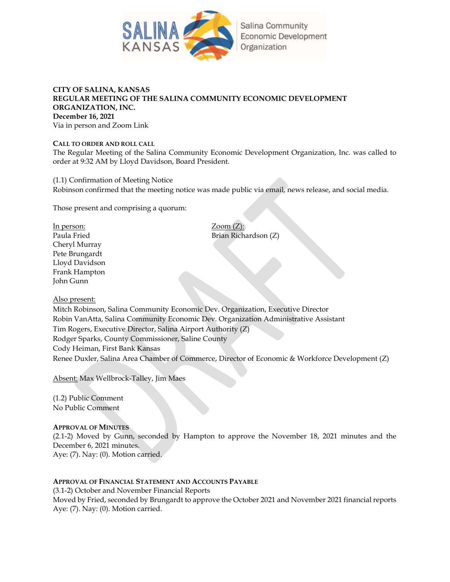

## CITY OF SALINA, KANSAS REGULAR MEETING OF THE SALINA COMMUNITY ECONOMIC DEVELOPMENT ORGANIZATION, INC. December 16, 2021 Via in person and Zoom Link

#### CALL TO ORDER AND ROLL CALL

The Regular Meeting of the Salina Community Economic Development Organization, Inc. was called to order at 9:32 AM by Lloyd Davidson, Board President.

(1.1) Confirmation of Meeting Notice Robinson confirmed that the meeting notice was made public via email, news release, and social media.

Those present and comprising a quorum:

In person: Zoom (Z): Cheryl Murray Pete Brungardt Lloyd Davidson Frank Hampton John Gunn

Paula Fried Brian Richardson (Z)

Also present:

Mitch Robinson, Salina Community Economic Dev. Organization, Executive Director Robin VanAtta, Salina Community Economic Dev. Organization Administrative Assistant Tim Rogers, Executive Director, Salina Airport Authority (Z) Rodger Sparks, County Commissioner, Saline County Cody Heiman, First Bank Kansas Renee Duxler, Salina Area Chamber of Commerce, Director of Economic & Workforce Development (Z)

Absent: Max Wellbrock-Talley, Jim Maes

(1.2) Public Comment No Public Comment

APPROVAL OF MINUTES

(2.1-2) Moved by Gunn, seconded by Hampton to approve the November 18, 2021 minutes and the December 6, 2021 minutes. Aye: (7). Nay: (0). Motion carried.

APPROVAL OF FINANCIAL STATEMENT AND ACCOUNTS PAYABLE

(3.1-2) October and November Financial Reports Moved by Fried, seconded by Brungardt to approve the October 2021 and November 2021 financial reports Aye: (7). Nay: (0). Motion carried.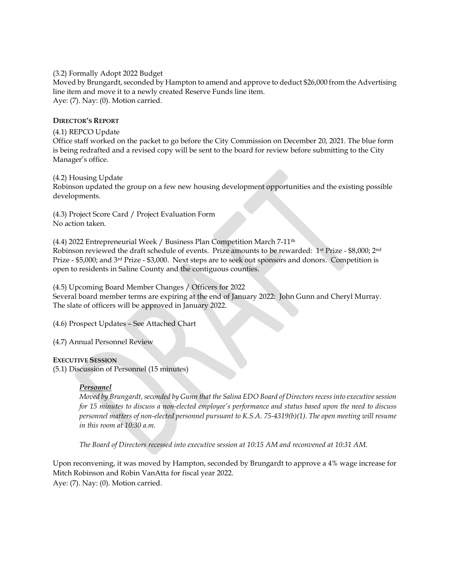(3.2) Formally Adopt 2022 Budget

Moved by Brungardt, seconded by Hampton to amend and approve to deduct \$26,000 from the Advertising line item and move it to a newly created Reserve Funds line item. Aye: (7). Nay: (0). Motion carried.

#### DIRECTOR'S REPORT

#### (4.1) REPCO Update

Office staff worked on the packet to go before the City Commission on December 20, 2021. The blue form is being redrafted and a revised copy will be sent to the board for review before submitting to the City Manager's office.

#### (4.2) Housing Update

Robinson updated the group on a few new housing development opportunities and the existing possible developments.

(4.3) Project Score Card / Project Evaluation Form No action taken.

(4.4) 2022 Entrepreneurial Week / Business Plan Competition March 7-11<sup>th</sup> Robinson reviewed the draft schedule of events. Prize amounts to be rewarded: 1<sup>st</sup> Prize - \$8,000; 2<sup>nd</sup> Prize - \$5,000; and 3rd Prize - \$3,000. Next steps are to seek out sponsors and donors. Competition is open to residents in Saline County and the contiguous counties.

(4.5) Upcoming Board Member Changes / Officers for 2022 Several board member terms are expiring at the end of January 2022: John Gunn and Cheryl Murray. The slate of officers will be approved in January 2022.

(4.6) Prospect Updates – See Attached Chart

(4.7) Annual Personnel Review

#### EXECUTIVE SESSION

(5.1) Discussion of Personnel (15 minutes)

## Personnel

Moved by Brungardt, seconded by Gunn that the Salina EDO Board of Directors recess into executive session for 15 minutes to discuss a non-elected employee's performance and status based upon the need to discuss personnel matters of non-elected personnel pursuant to K.S.A. 75-4319(b)(1). The open meeting will resume in this room at 10:30 a.m.

The Board of Directors recessed into executive session at 10:15 AM and reconvened at 10:31 AM.

Upon reconvening, it was moved by Hampton, seconded by Brungardt to approve a 4% wage increase for Mitch Robinson and Robin VanAtta for fiscal year 2022. Aye: (7). Nay: (0). Motion carried.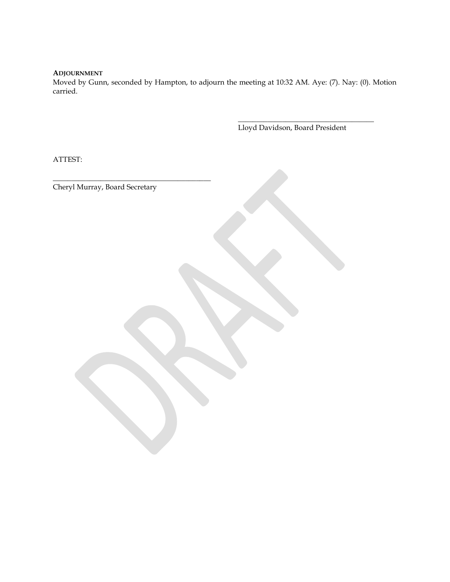## ADJOURNMENT

Moved by Gunn, seconded by Hampton, to adjourn the meeting at 10:32 AM. Aye: (7). Nay: (0). Motion carried.

 $\overline{\phantom{a}}$  , and the contract of the contract of the contract of the contract of the contract of the contract of the contract of the contract of the contract of the contract of the contract of the contract of the contrac

Lloyd Davidson, Board President

ATTEST:

Cheryl Murray, Board Secretary

\_\_\_\_\_\_\_\_\_\_\_\_\_\_\_\_\_\_\_\_\_\_\_\_\_\_\_\_\_\_\_\_\_\_\_\_\_\_\_\_\_\_\_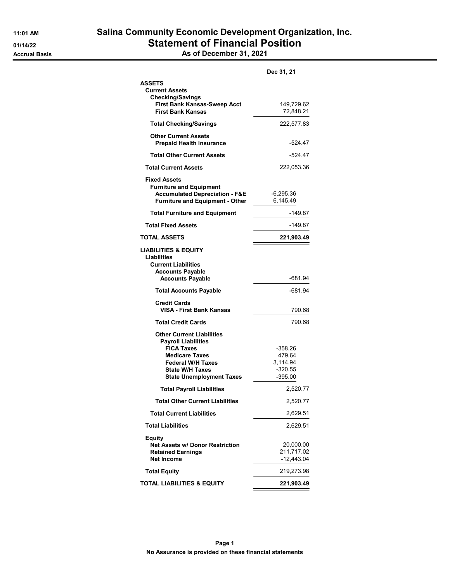|                                                                                                                                                                    | Dec 31, 21                                 |
|--------------------------------------------------------------------------------------------------------------------------------------------------------------------|--------------------------------------------|
| <b>ASSETS</b>                                                                                                                                                      |                                            |
| <b>Current Assets</b>                                                                                                                                              |                                            |
| <b>Checking/Savings</b><br><b>First Bank Kansas-Sweep Acct</b>                                                                                                     | 149,729.62                                 |
| <b>First Bank Kansas</b>                                                                                                                                           | 72,848.21                                  |
| <b>Total Checking/Savings</b>                                                                                                                                      | 222,577.83                                 |
| <b>Other Current Assets</b><br><b>Prepaid Health Insurance</b>                                                                                                     | -524.47                                    |
| <b>Total Other Current Assets</b>                                                                                                                                  | $-524.47$                                  |
| <b>Total Current Assets</b>                                                                                                                                        | 222,053.36                                 |
| <b>Fixed Assets</b><br><b>Furniture and Equipment</b><br><b>Accumulated Depreciation - F&amp;E</b><br><b>Furniture and Equipment - Other</b>                       | -6,295.36<br>6,145.49                      |
| <b>Total Furniture and Equipment</b>                                                                                                                               | -149.87                                    |
| <b>Total Fixed Assets</b>                                                                                                                                          | $-149.87$                                  |
| <b>TOTAL ASSETS</b>                                                                                                                                                | 221,903.49                                 |
| LIABILITIES & EQUITY                                                                                                                                               |                                            |
| <b>Liabilities</b><br><b>Current Liabilities</b><br><b>Accounts Payable</b><br><b>Accounts Payable</b>                                                             | -681.94                                    |
| <b>Total Accounts Payable</b>                                                                                                                                      | -681.94                                    |
| <b>Credit Cards</b><br>VISA - First Bank Kansas                                                                                                                    | 790.68                                     |
| <b>Total Credit Cards</b>                                                                                                                                          | 790.68                                     |
| <b>Other Current Liabilities</b><br><b>Payroll Liabilities</b><br><b>FICA Taxes</b><br><b>Medicare Taxes</b><br><b>Federal W/H Taxes</b><br><b>State W/H Taxes</b> | -358.26<br>479.64<br>3,114.94<br>$-320.55$ |
| <b>State Unemployment Taxes</b>                                                                                                                                    | $-395.00$                                  |
| <b>Total Payroll Liabilities</b>                                                                                                                                   | 2,520.77                                   |
| <b>Total Other Current Liabilities</b>                                                                                                                             | 2,520.77                                   |
| <b>Total Current Liabilities</b>                                                                                                                                   | 2,629.51                                   |
| <b>Total Liabilities</b>                                                                                                                                           | 2,629.51                                   |
| <b>Equity</b><br><b>Net Assets w/ Donor Restriction</b><br><b>Retained Earnings</b><br><b>Net Income</b>                                                           | 20,000.00<br>211,717.02<br>$-12,443.04$    |
| <b>Total Equity</b>                                                                                                                                                | 219,273.98                                 |
| TOTAL LIABILITIES & EQUITY                                                                                                                                         | 221,903.49                                 |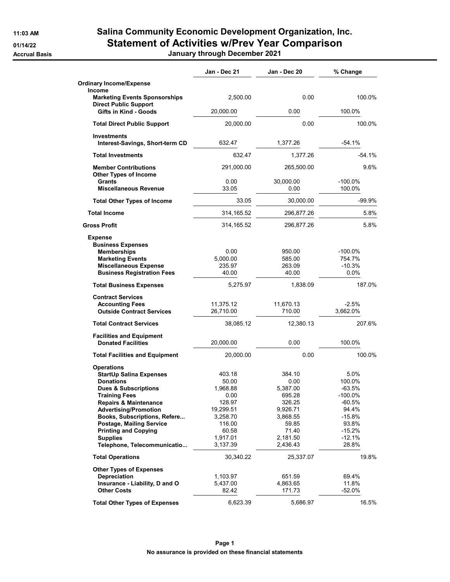# 11:03 AM Salina Community Economic Development Organization, Inc. 01/14/22 Statement of Activities w/Prev Year Comparison

Accrual Basis January through December 2021

|                                                                                                                                                                                                                                                                                                                                                                                      | Jan - Dec 21                                                                                                                   | Jan - Dec 20                                                                                                                  | % Change                                                                                                               |
|--------------------------------------------------------------------------------------------------------------------------------------------------------------------------------------------------------------------------------------------------------------------------------------------------------------------------------------------------------------------------------------|--------------------------------------------------------------------------------------------------------------------------------|-------------------------------------------------------------------------------------------------------------------------------|------------------------------------------------------------------------------------------------------------------------|
| <b>Ordinary Income/Expense</b>                                                                                                                                                                                                                                                                                                                                                       |                                                                                                                                |                                                                                                                               |                                                                                                                        |
| <b>Income</b><br><b>Marketing Events Sponsorships</b><br><b>Direct Public Support</b>                                                                                                                                                                                                                                                                                                | 2,500.00                                                                                                                       | 0.00                                                                                                                          | 100.0%                                                                                                                 |
| Gifts in Kind - Goods                                                                                                                                                                                                                                                                                                                                                                | 20,000.00                                                                                                                      | 0.00                                                                                                                          | 100.0%                                                                                                                 |
| <b>Total Direct Public Support</b>                                                                                                                                                                                                                                                                                                                                                   | 20,000.00                                                                                                                      | 0.00                                                                                                                          | 100.0%                                                                                                                 |
| <b>Investments</b><br>Interest-Savings, Short-term CD                                                                                                                                                                                                                                                                                                                                | 632.47                                                                                                                         | 1,377.26                                                                                                                      | $-54.1%$                                                                                                               |
| <b>Total Investments</b>                                                                                                                                                                                                                                                                                                                                                             | 632.47                                                                                                                         | 1,377.26                                                                                                                      | $-54.1%$                                                                                                               |
| <b>Member Contributions</b>                                                                                                                                                                                                                                                                                                                                                          | 291,000.00                                                                                                                     | 265,500.00                                                                                                                    | 9.6%                                                                                                                   |
| <b>Other Types of Income</b><br>Grants<br><b>Miscellaneous Revenue</b>                                                                                                                                                                                                                                                                                                               | 0.00<br>33.05                                                                                                                  | 30,000.00<br>0.00                                                                                                             | $-100.0\%$<br>100.0%                                                                                                   |
| <b>Total Other Types of Income</b>                                                                                                                                                                                                                                                                                                                                                   | 33.05                                                                                                                          | 30,000.00                                                                                                                     | $-99.9%$                                                                                                               |
| <b>Total Income</b>                                                                                                                                                                                                                                                                                                                                                                  | 314, 165.52                                                                                                                    | 296,877.26                                                                                                                    | 5.8%                                                                                                                   |
| <b>Gross Profit</b>                                                                                                                                                                                                                                                                                                                                                                  | 314,165.52                                                                                                                     | 296,877.26                                                                                                                    | 5.8%                                                                                                                   |
| <b>Expense</b><br><b>Business Expenses</b><br><b>Memberships</b><br><b>Marketing Events</b><br><b>Miscellaneous Expense</b><br><b>Business Registration Fees</b>                                                                                                                                                                                                                     | 0.00<br>5,000.00<br>235.97<br>40.00                                                                                            | 950.00<br>585.00<br>263.09<br>40.00                                                                                           | $-100.0%$<br>754.7%<br>$-10.3%$<br>$0.0\%$                                                                             |
| <b>Total Business Expenses</b>                                                                                                                                                                                                                                                                                                                                                       | 5,275.97                                                                                                                       | 1,838.09                                                                                                                      | 187.0%                                                                                                                 |
| <b>Contract Services</b><br><b>Accounting Fees</b><br><b>Outside Contract Services</b>                                                                                                                                                                                                                                                                                               | 11,375.12<br>26,710.00                                                                                                         | 11,670.13<br>710.00                                                                                                           | $-2.5%$<br>3,662.0%                                                                                                    |
| <b>Total Contract Services</b>                                                                                                                                                                                                                                                                                                                                                       | 38,085.12                                                                                                                      | 12,380.13                                                                                                                     | 207.6%                                                                                                                 |
| <b>Facilities and Equipment</b><br><b>Donated Facilities</b>                                                                                                                                                                                                                                                                                                                         | 20,000.00                                                                                                                      | 0.00                                                                                                                          | 100.0%                                                                                                                 |
| <b>Total Facilities and Equipment</b>                                                                                                                                                                                                                                                                                                                                                | 20,000.00                                                                                                                      | 0.00                                                                                                                          | 100.0%                                                                                                                 |
| <b>StartUp Salina Expenses</b><br><b>Donations</b><br><b>Dues &amp; Subscriptions</b><br>Training Fees<br><b>Repairs &amp; Maintenance</b><br><b>Advertising/Promotion</b><br>Books, Subscriptions, Refere<br>Postage, Mailing Service<br><b>Printing and Copying</b><br><b>Supplies</b><br>Telephone, Telecommunicatio<br><b>Total Operations</b><br><b>Other Types of Expenses</b> | 403.18<br>50.00<br>1,968.88<br>0.00<br>128.97<br>19,299.51<br>3,258.70<br>116.00<br>60.58<br>1,917.01<br>3,137.39<br>30,340.22 | 384.10<br>0.00<br>5,387.00<br>695.28<br>326.25<br>9,926.71<br>3,868.55<br>59.85<br>71.40<br>2,181.50<br>2,436.43<br>25,337.07 | 5.0%<br>100.0%<br>$-63.5%$<br>$-100.0\%$<br>-60.5%<br>94.4%<br>$-15.8%$<br>93.8%<br>-15.2%<br>-12.1%<br>28.8%<br>19.8% |
| <b>Depreciation</b><br>Insurance - Liability, D and O<br><b>Other Costs</b>                                                                                                                                                                                                                                                                                                          | 1,103.97<br>5,437.00<br>82.42                                                                                                  | 651.59<br>4,863.65<br>171.73                                                                                                  | 69.4%<br>11.8%<br>$-52.0%$                                                                                             |
| <b>Total Other Types of Expenses</b>                                                                                                                                                                                                                                                                                                                                                 | 6,623.39                                                                                                                       | 5,686.97                                                                                                                      | 16.5%                                                                                                                  |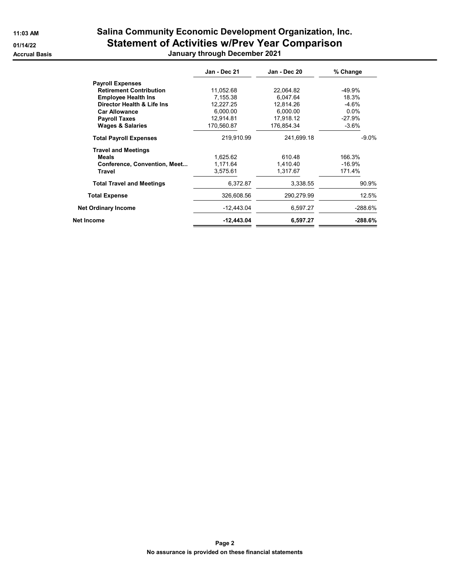## 11:03 AM Salina Community Economic Development Organization, Inc. 01/14/22 Statement of Activities w/Prev Year Comparison Accrual Basis January through December 2021

|                                  | Jan - Dec 21 | Jan - Dec 20 | % Change  |
|----------------------------------|--------------|--------------|-----------|
| <b>Payroll Expenses</b>          |              |              |           |
| <b>Retirement Contribution</b>   | 11,052.68    | 22,064.82    | -49.9%    |
| <b>Employee Health Ins</b>       | 7.155.38     | 6,047.64     | 18.3%     |
| Director Health & Life Ins       | 12,227.25    | 12,814.26    | $-4.6%$   |
| <b>Car Allowance</b>             | 6,000.00     | 6,000.00     | $0.0\%$   |
| <b>Payroll Taxes</b>             | 12,914.81    | 17,918.12    | $-27.9%$  |
| <b>Wages &amp; Salaries</b>      | 170,560.87   | 176,854.34   | $-3.6%$   |
| <b>Total Payroll Expenses</b>    | 219,910.99   | 241,699.18   | $-9.0%$   |
| <b>Travel and Meetings</b>       |              |              |           |
| <b>Meals</b>                     | 1.625.62     | 610.48       | 166.3%    |
| Conference, Convention, Meet     | 1,171.64     | 1.410.40     | $-16.9%$  |
| <b>Travel</b>                    | 3.575.61     | 1.317.67     | 171.4%    |
| <b>Total Travel and Meetings</b> | 6,372.87     | 3,338.55     | 90.9%     |
| <b>Total Expense</b>             | 326,608.56   | 290,279.99   | 12.5%     |
| <b>Net Ordinary Income</b>       | $-12,443.04$ | 6,597.27     | $-288.6%$ |
| Net Income                       | $-12,443.04$ | 6,597.27     | $-288.6%$ |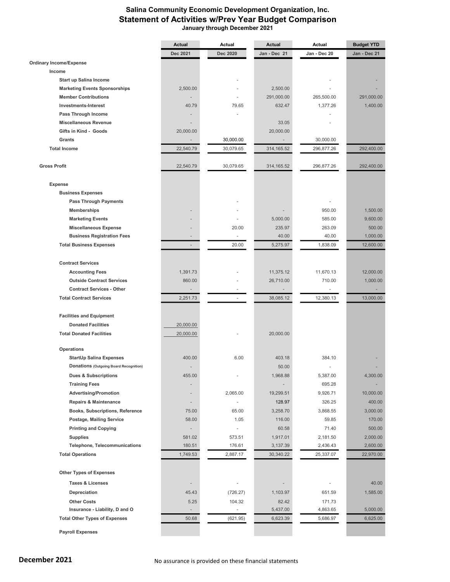## Salina Community Economic Development Organization, Inc. Statement of Activities w/Prev Year Budget Comparison January through December 2021

|                                                                   | Actual                   | Actual                   | Actual                   | Actual                   | <b>Budget YTD</b>    |
|-------------------------------------------------------------------|--------------------------|--------------------------|--------------------------|--------------------------|----------------------|
|                                                                   | Dec 2021                 | Dec 2020                 | Jan - Dec 21             | Jan - Dec 20             | Jan - Dec 21         |
| <b>Ordinary Income/Expense</b>                                    |                          |                          |                          |                          |                      |
| Income                                                            |                          |                          |                          |                          |                      |
| Start up Salina Income                                            |                          |                          |                          |                          |                      |
| <b>Marketing Events Sponsorships</b>                              | 2,500.00                 |                          | 2,500.00                 |                          |                      |
| <b>Member Contributions</b>                                       |                          |                          | 291,000.00               | 265,500.00               | 291,000.00           |
| <b>Investments-Interest</b>                                       | 40.79                    | 79.65                    | 632.47                   | 1,377.26                 | 1,400.00             |
| Pass Through Income                                               |                          |                          |                          |                          |                      |
| <b>Miscellaneous Revenue</b>                                      |                          |                          | 33.05                    |                          |                      |
| Gifts in Kind - Goods                                             | 20,000.00                |                          | 20,000.00                |                          |                      |
| Grants                                                            |                          | 30,000.00                | $\overline{\phantom{a}}$ | 30,000.00                |                      |
| <b>Total Income</b>                                               | 22,540.79                | 30,079.65                | 314, 165.52              | 296,877.26               | 292,400.00           |
|                                                                   |                          |                          |                          |                          |                      |
| <b>Gross Profit</b>                                               | 22,540.79                | 30,079.65                | 314, 165.52              | 296,877.26               | 292,400.00           |
|                                                                   |                          |                          |                          |                          |                      |
| <b>Expense</b>                                                    |                          |                          |                          |                          |                      |
| <b>Business Expenses</b>                                          |                          |                          |                          |                          |                      |
| <b>Pass Through Payments</b>                                      |                          |                          |                          |                          |                      |
| <b>Memberships</b>                                                |                          |                          |                          | 950.00                   | 1,500.00             |
| <b>Marketing Events</b>                                           |                          |                          | 5,000.00                 | 585.00                   | 9,600.00             |
|                                                                   |                          | 20.00                    | 235.97                   | 263.09                   | 500.00               |
| <b>Miscellaneous Expense</b><br><b>Business Registration Fees</b> |                          | $\overline{\phantom{a}}$ | 40.00                    | 40.00                    | 1,000.00             |
|                                                                   |                          | 20.00                    | 5,275.97                 |                          |                      |
| <b>Total Business Expenses</b>                                    | $\overline{\phantom{a}}$ |                          |                          | 1,838.09                 | 12,600.00            |
| <b>Contract Services</b>                                          |                          |                          |                          |                          |                      |
| <b>Accounting Fees</b>                                            | 1,391.73                 |                          | 11,375.12                | 11,670.13                | 12,000.00            |
| <b>Outside Contract Services</b>                                  | 860.00                   |                          | 26,710.00                | 710.00                   | 1,000.00             |
| <b>Contract Services - Other</b>                                  |                          |                          |                          | $\overline{\phantom{a}}$ |                      |
| <b>Total Contract Services</b>                                    | 2,251.73                 | $\overline{\phantom{a}}$ | 38,085.12                | 12,380.13                | 13,000.00            |
|                                                                   |                          |                          |                          |                          |                      |
| <b>Facilities and Equipment</b>                                   |                          |                          |                          |                          |                      |
| <b>Donated Facilities</b>                                         | 20,000.00                |                          |                          |                          |                      |
|                                                                   |                          |                          |                          |                          |                      |
| <b>Total Donated Facilities</b>                                   | 20,000.00                |                          | 20,000.00                |                          |                      |
| Operations                                                        |                          |                          |                          |                          |                      |
| <b>StartUp Salina Expenses</b>                                    | 400.00                   | 6.00                     | 403.18                   | 384.10                   |                      |
| Donations (Outgoing Board Recognition)                            |                          |                          | 50.00                    |                          |                      |
| <b>Dues &amp; Subscriptions</b>                                   | 455.00                   |                          | 1,968.88                 | 5,387.00                 | 4,300.00             |
| <b>Training Fees</b>                                              |                          |                          |                          | 695.28                   |                      |
| <b>Advertising/Promotion</b>                                      |                          | 2,065.00                 | 19,299.51                | 9,926.71                 | 10,000.00            |
| <b>Repairs &amp; Maintenance</b>                                  |                          | $\omega$                 | 128.97                   | 326.25                   | 400.00               |
| Books, Subscriptions, Reference                                   | 75.00                    | 65.00                    | 3,258.70                 | 3,868.55                 | 3,000.00             |
| Postage, Mailing Service                                          | 58.00                    | 1.05                     | 116.00                   | 59.85                    | 170.00               |
| <b>Printing and Copying</b>                                       |                          | $\overline{\phantom{a}}$ | 60.58                    | 71.40                    | 500.00               |
|                                                                   |                          |                          |                          | 2,181.50                 |                      |
| <b>Supplies</b><br>Telephone, Telecommunications                  | 581.02                   | 573.51<br>176.61         | 1,917.01                 |                          | 2,000.00<br>2,600.00 |
|                                                                   | 180.51                   |                          | 3,137.39                 | 2,436.43                 |                      |
| <b>Total Operations</b>                                           | 1,749.53                 | 2,887.17                 | 30,340.22                | 25,337.07                | 22,970.00            |
| <b>Other Types of Expenses</b>                                    |                          |                          |                          |                          |                      |
| <b>Taxes &amp; Licenses</b>                                       |                          | ä,                       |                          | $\frac{1}{2}$            | 40.00                |
|                                                                   |                          |                          |                          |                          |                      |
| Depreciation                                                      | 45.43                    | (726.27)                 | 1,103.97                 | 651.59                   | 1,585.00             |
| <b>Other Costs</b>                                                | 5.25                     | 104.32                   | 82.42                    | 171.73                   |                      |
| Insurance - Liability, D and O                                    |                          | $\blacksquare$           | 5,437.00                 | 4,863.65                 | 5,000.00             |
| <b>Total Other Types of Expenses</b>                              | 50.68                    | (621.95)                 | 6,623.39                 | 5,686.97                 | 6,625.00             |
| <b>Payroll Expenses</b>                                           |                          |                          |                          |                          |                      |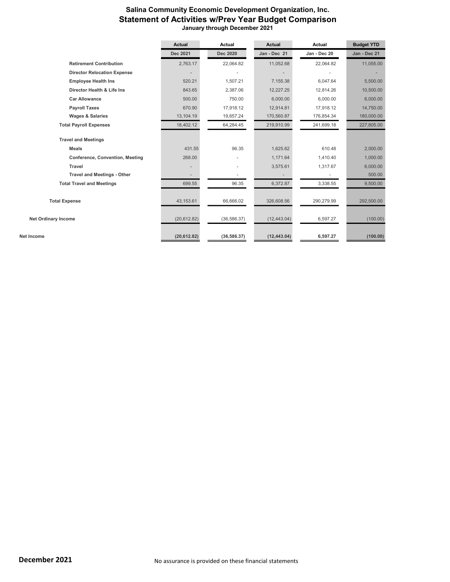## Salina Community Economic Development Organization, Inc. Statement of Activities w/Prev Year Budget Comparison January through December 2021

|                                        | <b>Actual</b> | Actual                   | <b>Actual</b> | Actual       | <b>Budget YTD</b> |
|----------------------------------------|---------------|--------------------------|---------------|--------------|-------------------|
|                                        | Dec 2021      | Dec 2020                 | Jan - Dec 21  | Jan - Dec 20 | Jan - Dec 21      |
| <b>Retirement Contribution</b>         | 2,763.17      | 22,064.82                | 11,052.68     | 22,064.82    | 11,055.00         |
| <b>Director Relocation Expense</b>     |               |                          |               |              |                   |
| <b>Employee Health Ins</b>             | 520.21        | 1,507.21                 | 7,155.38      | 6,047.64     | 5,500.00          |
| Director Health & Life Ins             | 843.65        | 2,387.06                 | 12,227.25     | 12,814.26    | 10,500.00         |
| <b>Car Allowance</b>                   | 500.00        | 750.00                   | 6,000.00      | 6,000.00     | 6,000.00          |
| <b>Payroll Taxes</b>                   | 670.90        | 17,918.12                | 12,914.81     | 17,918.12    | 14,750.00         |
| <b>Wages &amp; Salaries</b>            | 13,104.19     | 19,657.24                | 170,560.87    | 176,854.34   | 180,000.00        |
| <b>Total Payroll Expenses</b>          | 18,402.12     | 64,284.45                | 219,910.99    | 241,699.18   | 227,805.00        |
| <b>Travel and Meetings</b>             |               |                          |               |              |                   |
| <b>Meals</b>                           | 431.55        | 96.35                    | 1,625.62      | 610.48       | 2,000.00          |
| <b>Conference, Convention, Meeting</b> | 268.00        |                          | 1,171.64      | 1,410.40     | 1,000.00          |
| Travel                                 |               | $\overline{\phantom{m}}$ | 3,575.61      | 1,317.67     | 6,000.00          |
| <b>Travel and Meetings - Other</b>     |               |                          |               |              | 500.00            |
| <b>Total Travel and Meetings</b>       | 699.55        | 96.35                    | 6,372.87      | 3,338.55     | 9,500.00          |
|                                        |               |                          |               |              |                   |
| <b>Total Expense</b>                   | 43,153.61     | 66,666.02                | 326,608.56    | 290,279.99   | 292,500.00        |
| <b>Net Ordinary Income</b>             | (20, 612.82)  | (36, 586.37)             | (12, 443.04)  | 6,597.27     | (100.00)          |
| Net Income                             | (20, 612.82)  | (36, 586.37)             | (12, 443.04)  | 6,597.27     | (100.00)          |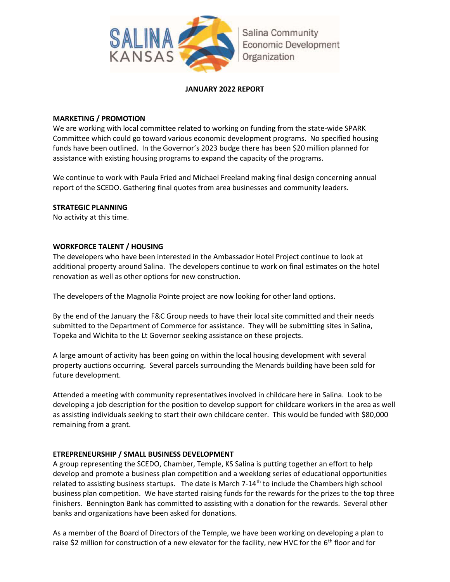

## JANUARY 2022 REPORT

## MARKETING / PROMOTION

We are working with local committee related to working on funding from the state-wide SPARK Committee which could go toward various economic development programs. No specified housing funds have been outlined. In the Governor's 2023 budge there has been \$20 million planned for assistance with existing housing programs to expand the capacity of the programs.

We continue to work with Paula Fried and Michael Freeland making final design concerning annual report of the SCEDO. Gathering final quotes from area businesses and community leaders.

## STRATEGIC PLANNING

No activity at this time.

## WORKFORCE TALENT / HOUSING

The developers who have been interested in the Ambassador Hotel Project continue to look at additional property around Salina. The developers continue to work on final estimates on the hotel renovation as well as other options for new construction.

The developers of the Magnolia Pointe project are now looking for other land options.

By the end of the January the F&C Group needs to have their local site committed and their needs submitted to the Department of Commerce for assistance. They will be submitting sites in Salina, Topeka and Wichita to the Lt Governor seeking assistance on these projects.

A large amount of activity has been going on within the local housing development with several property auctions occurring. Several parcels surrounding the Menards building have been sold for future development.

Attended a meeting with community representatives involved in childcare here in Salina. Look to be developing a job description for the position to develop support for childcare workers in the area as well as assisting individuals seeking to start their own childcare center. This would be funded with \$80,000 remaining from a grant.

## ETREPRENEURSHIP / SMALL BUSINESS DEVELOPMENT

A group representing the SCEDO, Chamber, Temple, KS Salina is putting together an effort to help develop and promote a business plan competition and a weeklong series of educational opportunities related to assisting business startups. The date is March  $7-14<sup>th</sup>$  to include the Chambers high school business plan competition. We have started raising funds for the rewards for the prizes to the top three finishers. Bennington Bank has committed to assisting with a donation for the rewards. Several other banks and organizations have been asked for donations.

As a member of the Board of Directors of the Temple, we have been working on developing a plan to raise \$2 million for construction of a new elevator for the facility, new HVC for the  $6<sup>th</sup>$  floor and for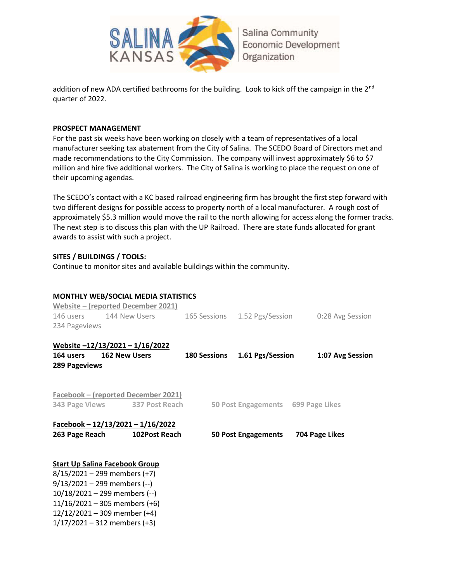

addition of new ADA certified bathrooms for the building. Look to kick off the campaign in the 2<sup>nd</sup> quarter of 2022.

#### PROSPECT MANAGEMENT

For the past six weeks have been working on closely with a team of representatives of a local manufacturer seeking tax abatement from the City of Salina. The SCEDO Board of Directors met and made recommendations to the City Commission. The company will invest approximately \$6 to \$7 million and hire five additional workers. The City of Salina is working to place the request on one of their upcoming agendas.

The SCEDO's contact with a KC based railroad engineering firm has brought the first step forward with two different designs for possible access to property north of a local manufacturer. A rough cost of approximately \$5.3 million would move the rail to the north allowing for access along the former tracks. The next step is to discuss this plan with the UP Railroad. There are state funds allocated for grant awards to assist with such a project.

## SITES / BUILDINGS / TOOLS:

Continue to monitor sites and available buildings within the community.

|                                       |                      | <b>MONTHLY WEB/SOCIAL MEDIA STATISTICS</b><br>Website – (reported December 2021) |                               |                                    |                  |
|---------------------------------------|----------------------|----------------------------------------------------------------------------------|-------------------------------|------------------------------------|------------------|
|                                       |                      | 146 users 144 New Users                                                          |                               | 165 Sessions 1.52 Pgs/Session      | 0:28 Avg Session |
| 234 Pageviews                         |                      |                                                                                  |                               |                                    |                  |
| Website -12/13/2021 - 1/16/2022       |                      |                                                                                  |                               |                                    |                  |
| 164 users                             | <b>162 New Users</b> |                                                                                  | 180 Sessions 1.61 Pgs/Session |                                    | 1:07 Avg Session |
| <b>289 Pageviews</b>                  |                      |                                                                                  |                               |                                    |                  |
|                                       |                      | Facebook – (reported December 2021)                                              |                               |                                    |                  |
|                                       |                      | 343 Page Views 337 Post Reach                                                    |                               | 50 Post Engagements 699 Page Likes |                  |
|                                       |                      | Facebook - $12/13/2021 - 1/16/2022$                                              |                               |                                    |                  |
| 263 Page Reach                        |                      | 102Post Reach                                                                    | <b>50 Post Engagements</b>    |                                    | 704 Page Likes   |
| <b>Start Up Salina Facebook Group</b> |                      |                                                                                  |                               |                                    |                  |
| $8/15/2021 - 299$ members (+7)        |                      |                                                                                  |                               |                                    |                  |
| $9/13/2021 - 299$ members (--)        |                      |                                                                                  |                               |                                    |                  |
| $10/18/2021 - 299$ members (--)       |                      |                                                                                  |                               |                                    |                  |
| $11/16/2021 - 305$ members (+6)       |                      |                                                                                  |                               |                                    |                  |
| $12/12/2021 - 309$ member (+4)        |                      |                                                                                  |                               |                                    |                  |

1/17/2021 – 312 members (+3)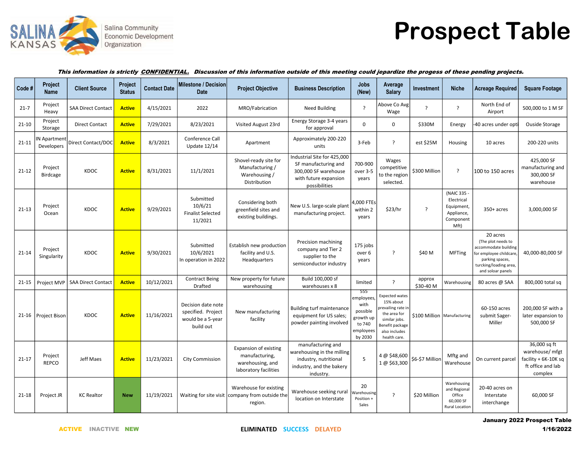

# Prospect Table

#### This information is strictly CONFIDENTIAL. Discussion of this information outside of this meeting could jepardize the progess of these pending projects.

| Code #    | Project<br><b>Name</b>     | <b>Client Source</b>      | Project<br><b>Status</b> | <b>Contact Date</b> | Milestone / Decision<br>Date                                               | <b>Project Objective</b>                                                             | <b>Business Description</b>                                                                                           | Jobs<br>(New)                                                                        | Average<br><b>Salary</b>                                                                                                                     | Investment               | <b>Niche</b>                                                             | <b>Acreage Required</b>                                                                                                                            | <b>Square Footage</b>                                                                    |
|-----------|----------------------------|---------------------------|--------------------------|---------------------|----------------------------------------------------------------------------|--------------------------------------------------------------------------------------|-----------------------------------------------------------------------------------------------------------------------|--------------------------------------------------------------------------------------|----------------------------------------------------------------------------------------------------------------------------------------------|--------------------------|--------------------------------------------------------------------------|----------------------------------------------------------------------------------------------------------------------------------------------------|------------------------------------------------------------------------------------------|
| $21 - 7$  | Project<br>Heavy           | <b>SAA Direct Contact</b> | <b>Active</b>            | 4/15/2021           | 2022                                                                       | MRO/Fabrication                                                                      | Need Building                                                                                                         | $\overline{?}$                                                                       | Above Co Avg<br>Wage                                                                                                                         | $\overline{\phantom{a}}$ | ?                                                                        | North End of<br>Airport                                                                                                                            | 500,000 to 1 M SF                                                                        |
| $21 - 10$ | Project<br>Storage         | <b>Direct Contact</b>     | <b>Active</b>            | 7/29/2021           | 8/23/2021                                                                  | Visited August 23rd                                                                  | Energy Storage 3-4 years<br>for approval                                                                              | $\Omega$                                                                             | 0                                                                                                                                            | \$330M                   | Energy                                                                   | 40 acres under opti                                                                                                                                | Ouside Storage                                                                           |
| $21 - 11$ | IN Apartment<br>Developers | Direct Contact/DOC        | <b>Active</b>            | 8/3/2021            | Conference Call<br><b>Update 12/14</b>                                     | Apartment                                                                            | Approximately 200-220<br>units                                                                                        | 3-Feb                                                                                | $\overline{?}$                                                                                                                               | est \$25M                | Housing                                                                  | 10 acres                                                                                                                                           | 200-220 units                                                                            |
| $21 - 12$ | Project<br><b>Birdcage</b> | KDOC                      | <b>Active</b>            | 8/31/2021           | 11/1/2021                                                                  | Shovel-ready site for<br>Manufacturing /<br>Warehousing /<br>Distribution            | Industrial Site for 425,000<br>SF manufacturing and<br>300,000 SF warehouse<br>with future expansion<br>possibilities | 700-900<br>over 3-5<br>years                                                         | Wages<br>competitive<br>to the region<br>selected.                                                                                           | \$300 Million            | $\cdot$                                                                  | 100 to 150 acres                                                                                                                                   | 425,000 SF<br>manufacturing and<br>300,000 SF<br>warehouse                               |
| $21-13$   | Project<br>Ocean           | KDOC                      | <b>Active</b>            | 9/29/2021           | Submitted<br>10/6/21<br><b>Finalist Selected</b><br>11/2021                | Considering both<br>greenfield sites and<br>existing buildings.                      | New U.S. large-scale plant<br>manufacturing project.                                                                  | 4,000 FTEs<br>within 2<br>years                                                      | \$23/hr                                                                                                                                      | ?                        | (NAIC 335<br>Electrical<br>Equipment,<br>Appliance,<br>Component<br>Mft) | $350+$ acres                                                                                                                                       | 3,000,000 SF                                                                             |
| $21 - 14$ | Project<br>Singularity     | KDOC                      | <b>Active</b>            | 9/30/2021           | Submitted<br>10/6/2021<br>In operation in 2022                             | Establish new production<br>facility and U.S.<br>Headquarters                        | Precision machining<br>company and Tier 2<br>supplier to the<br>semiconductor industry                                | 175 jobs<br>over 6<br>years                                                          | -2                                                                                                                                           | \$40 M                   | <b>MFTing</b>                                                            | 20 acres<br>(The plot needs to<br>accommodate building<br>for employee childcare<br>parking spaces,<br>turcking/loading area,<br>and soloar panels | 40,000-80,000 SF                                                                         |
| $21 - 15$ | Project MVP                | <b>SAA Direct Contact</b> | <b>Active</b>            | 10/12/2021          | <b>Contract Being</b><br><b>Drafted</b>                                    | New property for future<br>warehousing                                               | Build 100,000 sf<br>warehouses x 8                                                                                    | limited                                                                              | $\overline{?}$                                                                                                                               | approx<br>\$30-40 M      | Warehousing                                                              | 80 acres @ SAA                                                                                                                                     | 800,000 total sq                                                                         |
|           | 21-16   Project Bison      | KDOC                      | <b>Active</b>            | 11/16/2021          | Decision date note<br>specified. Project<br>would be a 5-year<br>build out | New manufacturing<br>facility                                                        | <b>Building turf maintenance</b><br>equipment for US sales;<br>powder painting involved                               | 555<br>employees,<br>with<br>possible<br>growth up<br>to 740<br>employees<br>by 2030 | <b>Expected wates</b><br>15% about<br>revailing rate in<br>the area for<br>similar jobs.<br>Benefit package<br>also includes<br>health care. |                          | \$100 Million   Manufacturing                                            | 60-150 acres<br>submit Sager-<br>Miller                                                                                                            | 200,000 SF with a<br>later expansion to<br>500,000 SF                                    |
| $21 - 17$ | Project<br><b>REPCO</b>    | Jeff Maes                 | <b>Active</b>            | 11/23/2021          | <b>City Commission</b>                                                     | Expansion of existing<br>manufacturing,<br>warehousing, and<br>laboratory facilities | manufacturing and<br>warehousing in the milling<br>industry, nutritional<br>industry, and the bakery<br>industry.     | 5                                                                                    | 4 @ \$48,600<br>1 @ \$63,300                                                                                                                 | \$6-\$7 Million          | Mftg and<br>Warehouse                                                    | On current parcel                                                                                                                                  | 36,000 sq ft<br>warehouse/ mfgt<br>facility $+6K-10K$ sq<br>ft office and lab<br>complex |
| $21 - 18$ | Project JR                 | <b>KC Realtor</b>         | <b>New</b>               | 11/19/2021          |                                                                            | Warehouse for existing<br>Waiting for site visit company from outside the<br>region. | Warehouse seeking rural<br>location on Interstate                                                                     | 20<br>Warehousing<br>Position +<br>Sales                                             | $\overline{\phantom{a}}$                                                                                                                     | \$20 Million             | Warehousing<br>and Regional<br>Office<br>60,000 SF<br>Rural Location     | 20-40 acres on<br>Interstate<br>interchange                                                                                                        | 60,000 SF                                                                                |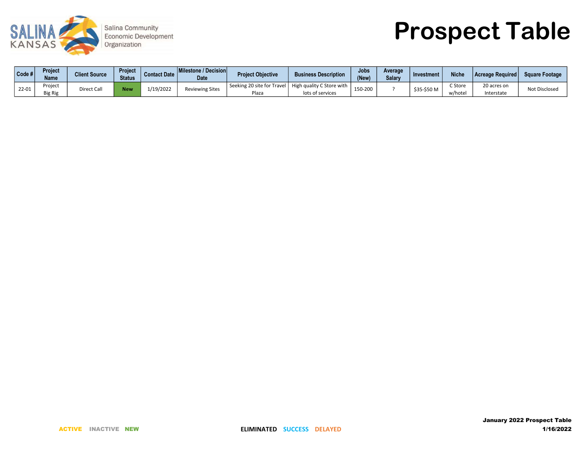

Prospect Table

| Code # | <b>Project</b><br><b>Name</b> | <b>Client Source</b> | <b>Project</b><br><b>Status</b> | <b>Contact Date</b> | <b>Milestone / Decision</b><br><b>Date</b> | Project Objective | <b>Business Description</b>                                                  | Jobs<br>(New) | Average<br><b>Salarv</b> | Investment  | <b>Niche</b>       | <b>Acreage Required</b>   | Square Footage |
|--------|-------------------------------|----------------------|---------------------------------|---------------------|--------------------------------------------|-------------------|------------------------------------------------------------------------------|---------------|--------------------------|-------------|--------------------|---------------------------|----------------|
| 22-01  | Project<br><b>Big Rig</b>     | Direct Call          | <b>New</b>                      | 1/19/2022           | <b>Reviewing Sites</b>                     | Plaza             | Seeking 20 site for Travel   High quality C Store with '<br>lots of services | 150-200       |                          | \$35-\$50 M | C Store<br>w/hote. | 20 acres on<br>Interstate | Not Disclosed  |